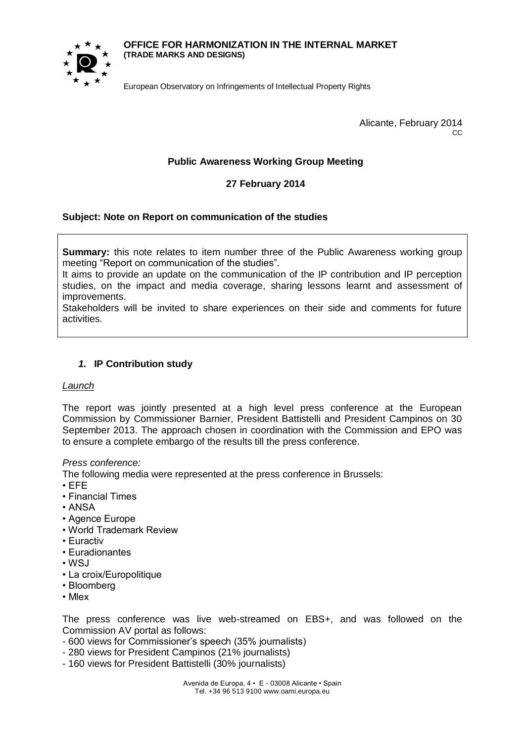#### **OFFICE FOR HARMONIZATION IN THE INTERNAL MARKET (TRADE MARKS AND DESIGNS)**



European Observatory on Infringements of Intellectual Property Rights

Alicante, February 2014  $C<sub>C</sub>$ 

# **Public Awareness Working Group Meeting**

## **27 February 2014**

## **Subject: Note on Report on communication of the studies**

**Summary:** this note relates to item number three of the Public Awareness working group meeting "Report on communication of the studies".

It aims to provide an update on the communication of the IP contribution and IP perception studies, on the impact and media coverage, sharing lessons learnt and assessment of improvements.

Stakeholders will be invited to share experiences on their side and comments for future activities.

## *1.* **IP Contribution study**

## *Launch*

The report was jointly presented at a high level press conference at the European Commission by Commissioner Barnier, President Battistelli and President Campinos on 30 September 2013. The approach chosen in coordination with the Commission and EPO was to ensure a complete embargo of the results till the press conference.

## *Press conference:*

The following media were represented at the press conference in Brussels:

- EFE
- Financial Times
- ANSA
- Agence Europe
- World Trademark Review
- Euractiv
- Euradionantes
- $\cdot$  WSJ
- La croix/Europolitique
- Bloomberg
- Mlex

The press conference was live web-streamed on EBS+, and was followed on the Commission AV portal as follows:

- 600 views for Commissioner's speech (35% journalists)
- 280 views for President Campinos (21% journalists)
- 160 views for President Battistelli (30% journalists)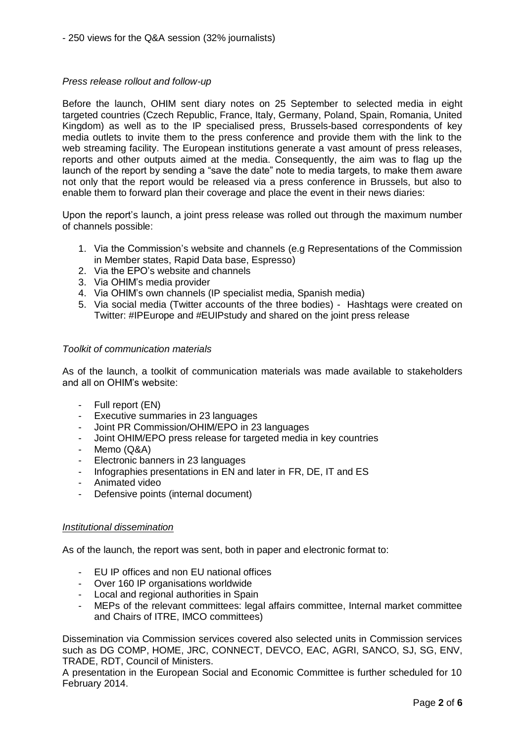## *Press release rollout and follow-up*

Before the launch, OHIM sent diary notes on 25 September to selected media in eight targeted countries (Czech Republic, France, Italy, Germany, Poland, Spain, Romania, United Kingdom) as well as to the IP specialised press, Brussels-based correspondents of key media outlets to invite them to the press conference and provide them with the link to the web streaming facility. The European institutions generate a vast amount of press releases, reports and other outputs aimed at the media. Consequently, the aim was to flag up the launch of the report by sending a "save the date" note to media targets, to make them aware not only that the report would be released via a press conference in Brussels, but also to enable them to forward plan their coverage and place the event in their news diaries:

Upon the report's launch, a joint press release was rolled out through the maximum number of channels possible:

- 1. Via the Commission's website and channels (e.g Representations of the Commission in Member states, Rapid Data base, Espresso)
- 2. Via the EPO's website and channels
- 3. Via OHIM's media provider
- 4. Via OHIM's own channels (IP specialist media, Spanish media)
- 5. Via social media (Twitter accounts of the three bodies) Hashtags were created on Twitter: #IPEurope and #EUIPstudy and shared on the joint press release

#### *Toolkit of communication materials*

As of the launch, a toolkit of communication materials was made available to stakeholders and all on OHIM's website:

- Full report (EN)
- Executive summaries in 23 languages
- Joint PR Commission/OHIM/EPO in 23 languages
- Joint OHIM/EPO press release for targeted media in key countries
- Memo (Q&A)
- Electronic banners in 23 languages
- Infographies presentations in EN and later in FR, DE, IT and ES
- Animated video
- Defensive points (internal document)

#### *Institutional dissemination*

As of the launch, the report was sent, both in paper and electronic format to:

- EU IP offices and non EU national offices
- Over 160 IP organisations worldwide
- Local and regional authorities in Spain
- MEPs of the relevant committees: legal affairs committee, Internal market committee and Chairs of ITRE, IMCO committees)

Dissemination via Commission services covered also selected units in Commission services such as DG COMP, HOME, JRC, CONNECT, DEVCO, EAC, AGRI, SANCO, SJ, SG, ENV, TRADE, RDT, Council of Ministers.

A presentation in the European Social and Economic Committee is further scheduled for 10 February 2014.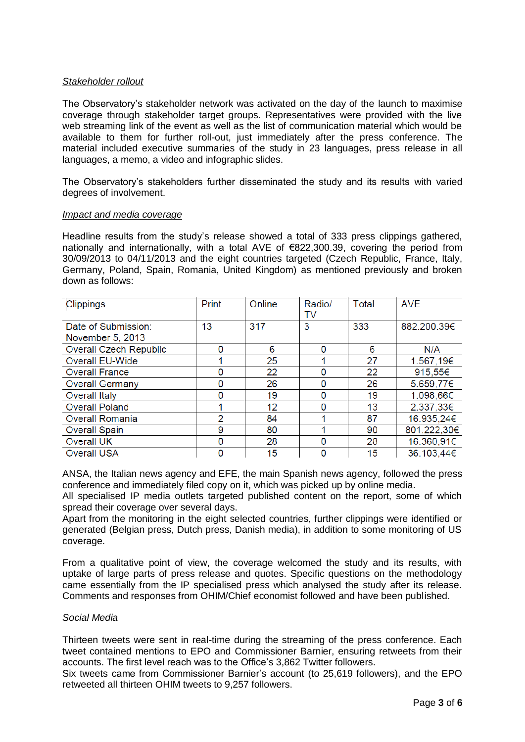## *Stakeholder rollout*

The Observatory's stakeholder network was activated on the day of the launch to maximise coverage through stakeholder target groups. Representatives were provided with the live web streaming link of the event as well as the list of communication material which would be available to them for further roll-out, just immediately after the press conference. The material included executive summaries of the study in 23 languages, press release in all languages, a memo, a video and infographic slides.

The Observatory's stakeholders further disseminated the study and its results with varied degrees of involvement.

#### *Impact and media coverage*

Headline results from the study's release showed a total of 333 press clippings gathered, nationally and internationally, with a total AVE of €822,300.39, covering the period from 30/09/2013 to 04/11/2013 and the eight countries targeted (Czech Republic, France, Italy, Germany, Poland, Spain, Romania, United Kingdom) as mentioned previously and broken down as follows:

| <b>Clippings</b>       | Print         | Online | Radio/<br>TV | Total | <b>AVE</b>  |
|------------------------|---------------|--------|--------------|-------|-------------|
| Date of Submission:    | 13            | 317    | 3            | 333   | 882.200.39€ |
| November 5, 2013       |               |        |              |       |             |
| Overall Czech Republic | O             | 6      | $\Omega$     | 6     | N/A         |
| Overall EU-Wide        |               | 25     |              | 27    | 1.567,19€   |
| <b>Overall France</b>  | O             | 22     | $\Omega$     | 22    | 915,55€     |
| <b>Overall Germany</b> | O             | 26     | $\Omega$     | 26    | 5.659,77€   |
| <b>Overall Italy</b>   | 0             | 19     | 0            | 19    | 1.098,66€   |
| <b>Overall Poland</b>  |               | 12     | 0            | 13    | 2.337,33€   |
| <b>Overall Romania</b> | $\mathcal{P}$ | 84     |              | 87    | 16.935,24€  |
| <b>Overall Spain</b>   | 9             | 80     |              | 90    | 801.222,30€ |
| <b>Overall UK</b>      | 0             | 28     | 0            | 28    | 16.360,91€  |
| <b>Overall USA</b>     | 0             | 15     | 0            | 15    | 36.103,44€  |

ANSA, the Italian news agency and EFE, the main Spanish news agency, followed the press conference and immediately filed copy on it, which was picked up by online media.

All specialised IP media outlets targeted published content on the report, some of which spread their coverage over several days.

Apart from the monitoring in the eight selected countries, further clippings were identified or generated (Belgian press, Dutch press, Danish media), in addition to some monitoring of US coverage.

From a qualitative point of view, the coverage welcomed the study and its results, with uptake of large parts of press release and quotes. Specific questions on the methodology came essentially from the IP specialised press which analysed the study after its release. Comments and responses from OHIM/Chief economist followed and have been published.

#### *Social Media*

Thirteen tweets were sent in real-time during the streaming of the press conference. Each tweet contained mentions to EPO and Commissioner Barnier, ensuring retweets from their accounts. The first level reach was to the Office's 3,862 Twitter followers.

Six tweets came from Commissioner Barnier's account (to 25,619 followers), and the EPO retweeted all thirteen OHIM tweets to 9,257 followers.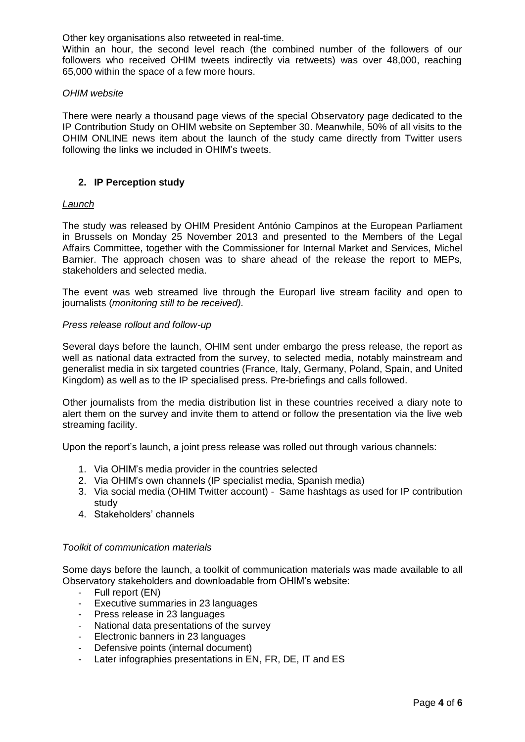Other key organisations also retweeted in real-time.

Within an hour, the second level reach (the combined number of the followers of our followers who received OHIM tweets indirectly via retweets) was over 48,000, reaching 65,000 within the space of a few more hours.

### *OHIM website*

There were nearly a thousand page views of the special Observatory page dedicated to the IP Contribution Study on OHIM website on September 30. Meanwhile, 50% of all visits to the OHIM ONLINE news item about the launch of the study came directly from Twitter users following the links we included in OHIM's tweets.

## **2. IP Perception study**

### *Launch*

The study was released by OHIM President António Campinos at the European Parliament in Brussels on Monday 25 November 2013 and presented to the Members of the Legal Affairs Committee, together with the Commissioner for Internal Market and Services, Michel Barnier. The approach chosen was to share ahead of the release the report to MEPs, stakeholders and selected media.

The event was web streamed live through the Europarl live stream facility and open to journalists (*monitoring still to be received).*

#### *Press release rollout and follow-up*

Several days before the launch, OHIM sent under embargo the press release, the report as well as national data extracted from the survey, to selected media, notably mainstream and generalist media in six targeted countries (France, Italy, Germany, Poland, Spain, and United Kingdom) as well as to the IP specialised press. Pre-briefings and calls followed.

Other journalists from the media distribution list in these countries received a diary note to alert them on the survey and invite them to attend or follow the presentation via the live web streaming facility.

Upon the report's launch, a joint press release was rolled out through various channels:

- 1. Via OHIM's media provider in the countries selected
- 2. Via OHIM's own channels (IP specialist media, Spanish media)
- 3. Via social media (OHIM Twitter account) Same hashtags as used for IP contribution study
- 4. Stakeholders' channels

#### *Toolkit of communication materials*

Some days before the launch, a toolkit of communication materials was made available to all Observatory stakeholders and downloadable from OHIM's website:

- Full report (EN)
- Executive summaries in 23 languages
- Press release in 23 languages
- National data presentations of the survey
- Electronic banners in 23 languages
- Defensive points (internal document)
- Later infographies presentations in EN, FR, DE, IT and ES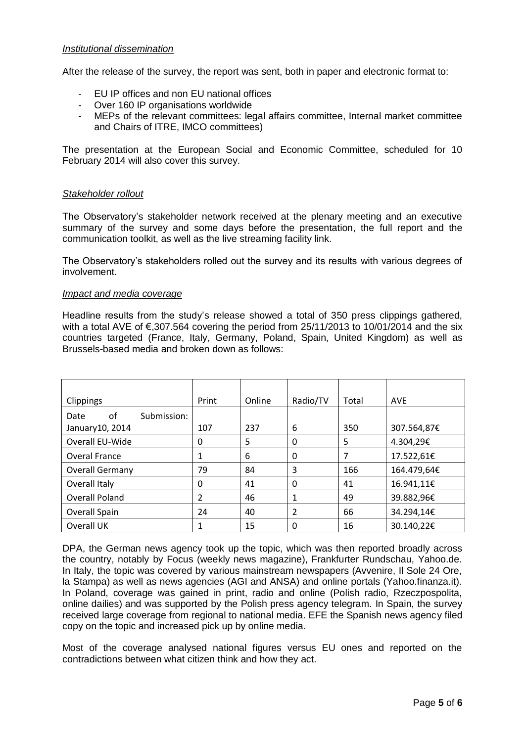## *Institutional dissemination*

After the release of the survey, the report was sent, both in paper and electronic format to:

- EU IP offices and non EU national offices
- Over 160 IP organisations worldwide
- MEPs of the relevant committees: legal affairs committee, Internal market committee and Chairs of ITRE, IMCO committees)

The presentation at the European Social and Economic Committee, scheduled for 10 February 2014 will also cover this survey.

### *Stakeholder rollout*

The Observatory's stakeholder network received at the plenary meeting and an executive summary of the survey and some days before the presentation, the full report and the communication toolkit, as well as the live streaming facility link.

The Observatory's stakeholders rolled out the survey and its results with various degrees of involvement.

#### *Impact and media coverage*

Headline results from the study's release showed a total of 350 press clippings gathered, with a total AVE of €,307.564 covering the period from 25/11/2013 to 10/01/2014 and the six countries targeted (France, Italy, Germany, Poland, Spain, United Kingdom) as well as Brussels-based media and broken down as follows:

| Clippings                 | Print    | Online | Radio/TV | Total | <b>AVE</b>  |
|---------------------------|----------|--------|----------|-------|-------------|
| of<br>Submission:<br>Date |          |        |          |       |             |
| January 10, 2014          | 107      | 237    | 6        | 350   | 307.564,87€ |
| Overall EU-Wide           | 0        | 5      | 0        | 5     | 4.304,29€   |
| <b>Overal France</b>      |          | 6      | 0        | 7     | 17.522,61€  |
| <b>Overall Germany</b>    | 79       | 84     | 3        | 166   | 164.479,64€ |
| Overall Italy             | $\Omega$ | 41     | 0        | 41    | 16.941,11€  |
| <b>Overall Poland</b>     | 2        | 46     | 1        | 49    | 39.882,96€  |
| Overall Spain             | 24       | 40     | 2        | 66    | 34.294,14€  |
| Overall UK                |          | 15     | 0        | 16    | 30.140,22€  |

DPA, the German news agency took up the topic, which was then reported broadly across the country, notably by Focus (weekly news magazine), Frankfurter Rundschau, Yahoo.de. In Italy, the topic was covered by various mainstream newspapers (Avvenire, Il Sole 24 Ore, la Stampa) as well as news agencies (AGI and ANSA) and online portals (Yahoo.finanza.it). In Poland, coverage was gained in print, radio and online (Polish radio, Rzeczpospolita, online dailies) and was supported by the Polish press agency telegram. In Spain, the survey received large coverage from regional to national media. EFE the Spanish news agency filed copy on the topic and increased pick up by online media.

Most of the coverage analysed national figures versus EU ones and reported on the contradictions between what citizen think and how they act.